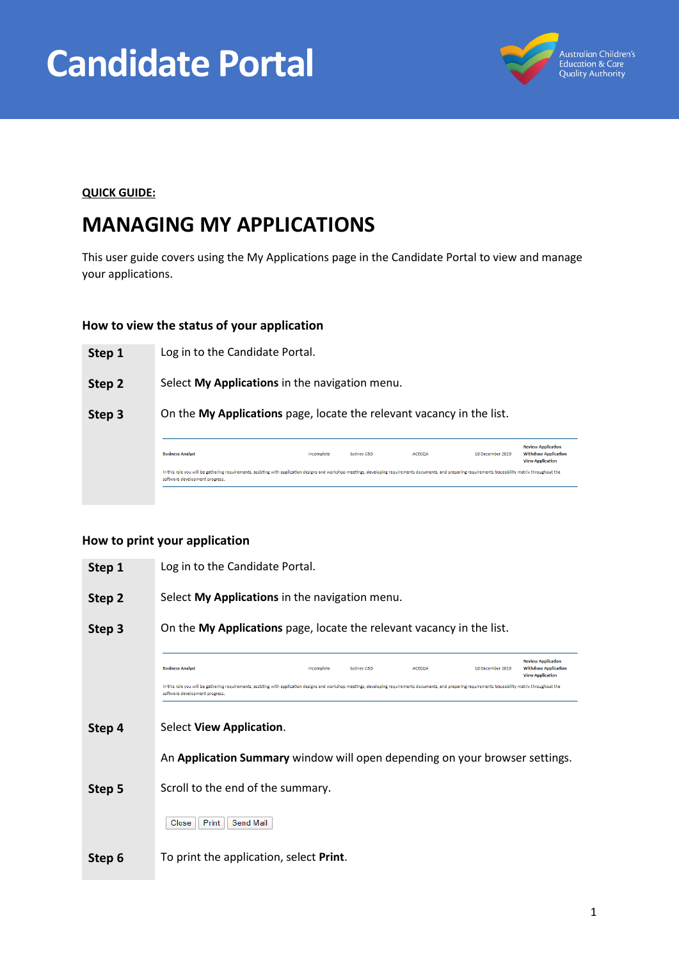



#### **QUICK GUIDE:**

# **MANAGING MY APPLICATIONS**

This user guide covers using the My Applications page in the Candidate Portal to view and manage your applications.

#### **How to view the status of your application**

| Step 1 | Log in to the Candidate Portal.                                                                                                                                                                                                               |            |            |               |                  |                                                                                     |
|--------|-----------------------------------------------------------------------------------------------------------------------------------------------------------------------------------------------------------------------------------------------|------------|------------|---------------|------------------|-------------------------------------------------------------------------------------|
| Step 2 | Select My Applications in the navigation menu.                                                                                                                                                                                                |            |            |               |                  |                                                                                     |
| Step 3 | On the My Applications page, locate the relevant vacancy in the list.                                                                                                                                                                         |            |            |               |                  |                                                                                     |
|        | <b>Business Analyst</b>                                                                                                                                                                                                                       | Incomplete | Sydney CBD | <b>ACECOA</b> | 10 December 2019 | <b>Review Application</b><br><b>Withdraw Application</b><br><b>View Application</b> |
|        | In this role you will be gathering requirements, assisting with application designs and workshop meetings, developing requirements documents, and preparing requirements traceability matrix throughout the<br>software development progress. |            |            |               |                  |                                                                                     |
|        |                                                                                                                                                                                                                                               |            |            |               |                  |                                                                                     |

#### **How to print your application**

| Step 1 | Log in to the Candidate Portal.                                                                                                                                                                                                               |  |  |  |  |
|--------|-----------------------------------------------------------------------------------------------------------------------------------------------------------------------------------------------------------------------------------------------|--|--|--|--|
| Step 2 | Select My Applications in the navigation menu.                                                                                                                                                                                                |  |  |  |  |
| Step 3 | On the My Applications page, locate the relevant vacancy in the list.                                                                                                                                                                         |  |  |  |  |
|        | <b>Review Application</b><br><b>Business Analyst</b><br>Incomplete<br>Sydney CBD<br><b>ACECOA</b><br>10 December 2019<br><b>Withdraw Application</b><br><b>View Application</b>                                                               |  |  |  |  |
|        | In this role you will be gathering requirements, assisting with application designs and workshop meetings, developing requirements documents, and preparing requirements traceability matrix throughout the<br>software development progress. |  |  |  |  |
| Step 4 | Select <b>View Application.</b>                                                                                                                                                                                                               |  |  |  |  |
|        | An Application Summary window will open depending on your browser settings.                                                                                                                                                                   |  |  |  |  |
| Step 5 | Scroll to the end of the summary.                                                                                                                                                                                                             |  |  |  |  |
|        | Print<br>Send Mail<br>Close                                                                                                                                                                                                                   |  |  |  |  |
| Step 6 | To print the application, select Print.                                                                                                                                                                                                       |  |  |  |  |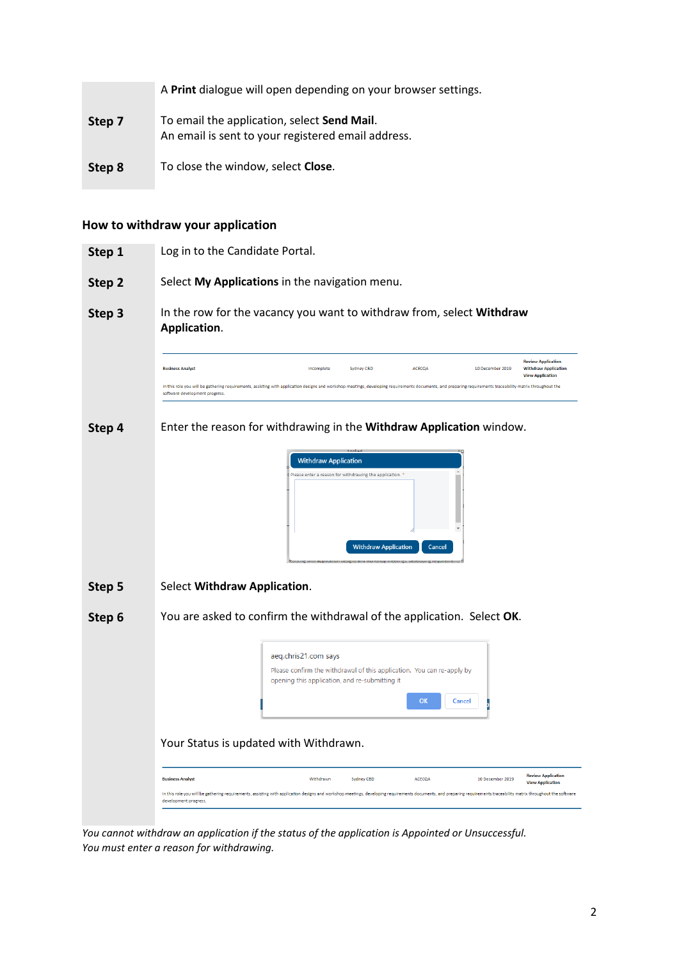|        | A Print dialogue will open depending on your browser settings.                                    |
|--------|---------------------------------------------------------------------------------------------------|
| Step 7 | To email the application, select Send Mail.<br>An email is sent to your registered email address. |
| Step 8 | To close the window, select Close.                                                                |

## **How to withdraw your application**

| Step 1 | Log in to the Candidate Portal.                                                                                                                                                                                                                                                                                                                                                         |
|--------|-----------------------------------------------------------------------------------------------------------------------------------------------------------------------------------------------------------------------------------------------------------------------------------------------------------------------------------------------------------------------------------------|
| Step 2 | Select My Applications in the navigation menu.                                                                                                                                                                                                                                                                                                                                          |
| Step 3 | In the row for the vacancy you want to withdraw from, select Withdraw<br>Application.                                                                                                                                                                                                                                                                                                   |
|        | <b>Review Application</b><br>ACECOA<br><b>Withdraw Application</b><br><b>Business Analyst</b><br>Incomplete<br>Sydney CBD<br>10 December 2019<br><b>View Application</b><br>In this role you will be gathering requirements, assisting with application designs and workshop meetings, developing requirements documents, and preparing requirements traceability matrix throughout the |
|        | software development progress.                                                                                                                                                                                                                                                                                                                                                          |
| Step 4 | Enter the reason for withdrawing in the Withdraw Application window.                                                                                                                                                                                                                                                                                                                    |
|        | <b>Withdraw Application</b><br>Please enter a reason for withdrawing the application.<br><b>Withdraw Application</b><br>Cancel                                                                                                                                                                                                                                                          |
| Step 5 | Select Withdraw Application.                                                                                                                                                                                                                                                                                                                                                            |
| Step 6 | You are asked to confirm the withdrawal of the application. Select OK.                                                                                                                                                                                                                                                                                                                  |
|        | aeq.chris21.com says<br>Please confirm the withdrawal of this application. You can re-apply by<br>opening this application, and re-submitting it<br>OK<br>Cancel                                                                                                                                                                                                                        |
|        | Your Status is updated with Withdrawn.                                                                                                                                                                                                                                                                                                                                                  |
|        | <b>Review Application</b><br><b>Business Analyst</b><br>Withdrawn<br>Sydney CBD<br><b>ACECOA</b><br>10 December 2019<br><b>View Application</b>                                                                                                                                                                                                                                         |
|        | In this role you will be gathering requirements, assisting with application designs and workshop meetings, developing requirements documents, and preparing requirements traceability matrix throughout the software<br>development progress.                                                                                                                                           |
|        |                                                                                                                                                                                                                                                                                                                                                                                         |

*You cannot withdraw an application if the status of the application is Appointed or Unsuccessful. You must enter a reason for withdrawing.*